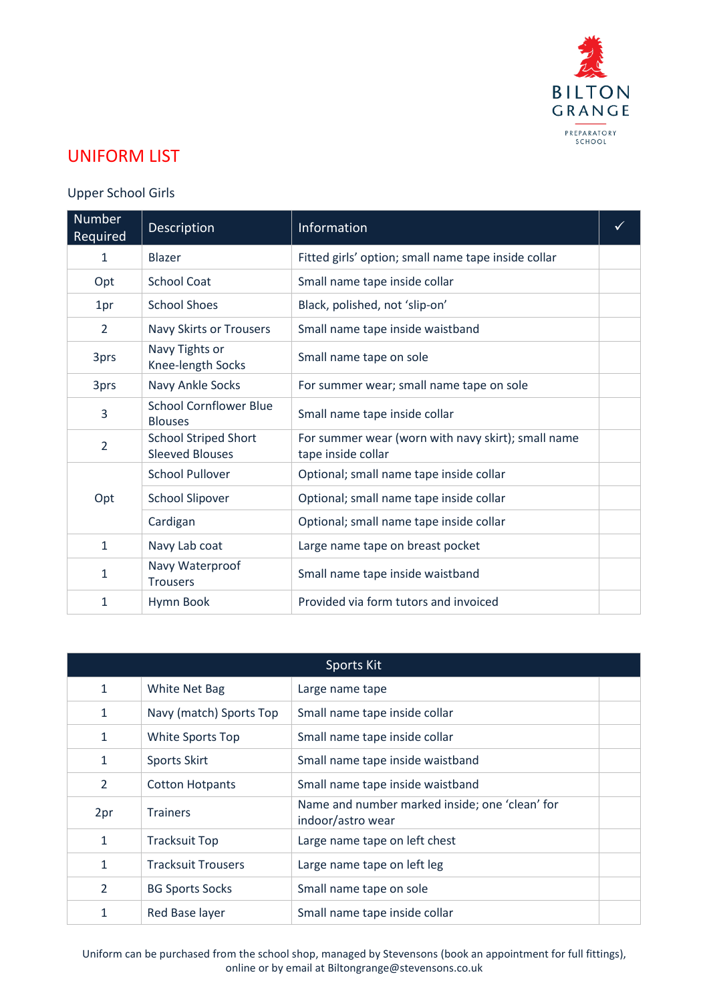

## UNIFORM LIST

## Upper School Girls

| <b>Number</b><br>Required | <b>Description</b>                                    | Information                                                              | ✓ |
|---------------------------|-------------------------------------------------------|--------------------------------------------------------------------------|---|
| 1                         | <b>Blazer</b>                                         | Fitted girls' option; small name tape inside collar                      |   |
| Opt                       | <b>School Coat</b>                                    | Small name tape inside collar                                            |   |
| 1pr                       | <b>School Shoes</b>                                   | Black, polished, not 'slip-on'                                           |   |
| $\overline{2}$            | Navy Skirts or Trousers                               | Small name tape inside waistband                                         |   |
| 3prs                      | Navy Tights or<br>Knee-length Socks                   | Small name tape on sole                                                  |   |
| 3prs                      | Navy Ankle Socks                                      | For summer wear; small name tape on sole                                 |   |
| 3                         | <b>School Cornflower Blue</b><br><b>Blouses</b>       | Small name tape inside collar                                            |   |
| $\overline{2}$            | <b>School Striped Short</b><br><b>Sleeved Blouses</b> | For summer wear (worn with navy skirt); small name<br>tape inside collar |   |
| Opt                       | <b>School Pullover</b>                                | Optional; small name tape inside collar                                  |   |
|                           | <b>School Slipover</b>                                | Optional; small name tape inside collar                                  |   |
|                           | Cardigan                                              | Optional; small name tape inside collar                                  |   |
| $\mathbf{1}$              | Navy Lab coat                                         | Large name tape on breast pocket                                         |   |
| $\mathbf{1}$              | Navy Waterproof<br><b>Trousers</b>                    | Small name tape inside waistband                                         |   |
| 1                         | Hymn Book                                             | Provided via form tutors and invoiced                                    |   |

| Sports Kit     |                           |                                                                     |  |
|----------------|---------------------------|---------------------------------------------------------------------|--|
| $\mathbf{1}$   | White Net Bag             | Large name tape                                                     |  |
| $\mathbf{1}$   | Navy (match) Sports Top   | Small name tape inside collar                                       |  |
| $\mathbf{1}$   | <b>White Sports Top</b>   | Small name tape inside collar                                       |  |
| $\mathbf{1}$   | <b>Sports Skirt</b>       | Small name tape inside waistband                                    |  |
| 2              | <b>Cotton Hotpants</b>    | Small name tape inside waistband                                    |  |
| 2pr            | <b>Trainers</b>           | Name and number marked inside; one 'clean' for<br>indoor/astro wear |  |
| $\mathbf{1}$   | <b>Tracksuit Top</b>      | Large name tape on left chest                                       |  |
| $\mathbf{1}$   | <b>Tracksuit Trousers</b> | Large name tape on left leg                                         |  |
| $\overline{2}$ | <b>BG Sports Socks</b>    | Small name tape on sole                                             |  |
| $\mathbf{1}$   | Red Base layer            | Small name tape inside collar                                       |  |

Uniform can be purchased from the school shop, managed by Stevensons (book an appointment for full fittings), online or by email at [Biltongrange@stevensons.co.uk](mailto:Biltongrange@stevensons.co.uk)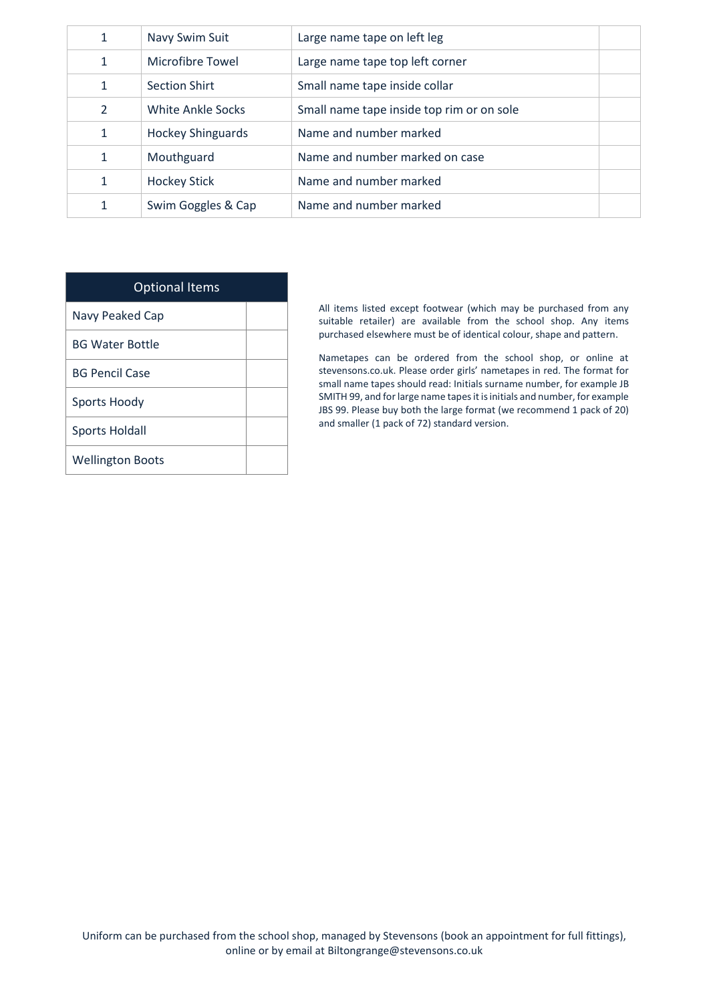| 1              | Navy Swim Suit           | Large name tape on left leg               |  |
|----------------|--------------------------|-------------------------------------------|--|
| 1              | Microfibre Towel         | Large name tape top left corner           |  |
| 1              | <b>Section Shirt</b>     | Small name tape inside collar             |  |
| $\overline{2}$ | White Ankle Socks        | Small name tape inside top rim or on sole |  |
| 1              | <b>Hockey Shinguards</b> | Name and number marked                    |  |
| 1              | Mouthguard               | Name and number marked on case            |  |
| 1              | <b>Hockey Stick</b>      | Name and number marked                    |  |
| 1              | Swim Goggles & Cap       | Name and number marked                    |  |

| <b>Optional Items</b>   |  |
|-------------------------|--|
| Navy Peaked Cap         |  |
| <b>BG Water Bottle</b>  |  |
| BG Pencil Case          |  |
| Sports Hoody            |  |
| Sports Holdall          |  |
| <b>Wellington Boots</b> |  |

All items listed except footwear (which may be purchased from any suitable retailer) are available from the school shop. Any items purchased elsewhere must be of identical colour, shape and pattern.

Nametapes can be ordered from the school shop, or online at stevensons.co.uk. Please order girls' nametapes in red. The format for small name tapes should read: Initials surname number, for example JB SMITH 99, and for large name tapes it is initials and number, for example JBS 99. Please buy both the large format (we recommend 1 pack of 20) and smaller (1 pack of 72) standard version.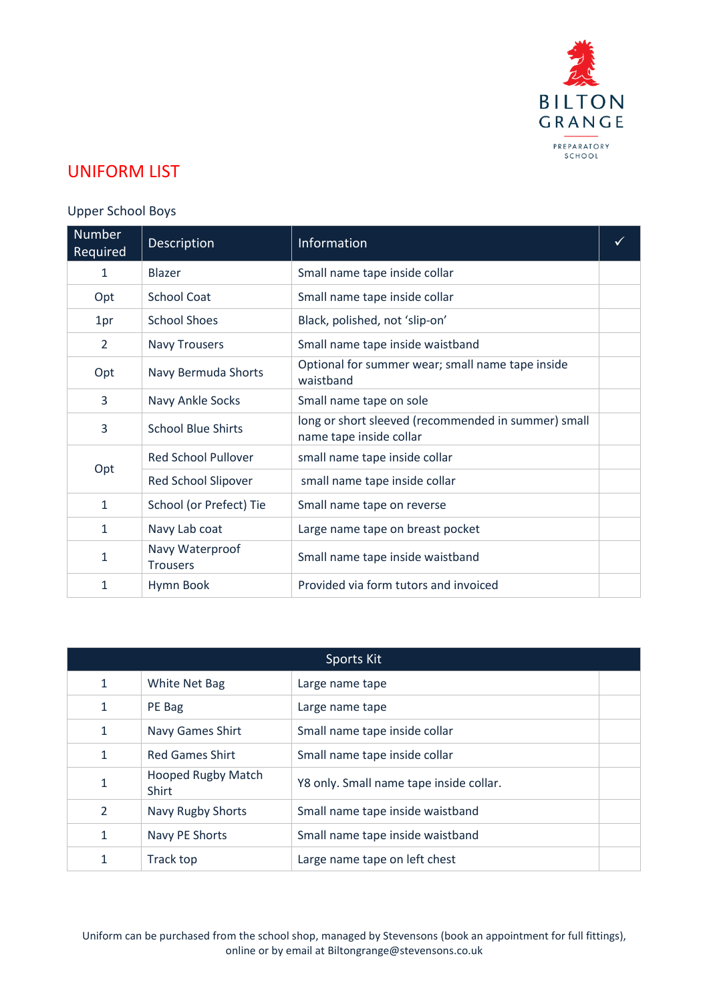

## UNIFORM LIST

## Upper School Boys

| <b>Number</b><br>Required | Description                        | Information                                                                    |  |
|---------------------------|------------------------------------|--------------------------------------------------------------------------------|--|
| 1                         | <b>Blazer</b>                      | Small name tape inside collar                                                  |  |
| Opt                       | <b>School Coat</b>                 | Small name tape inside collar                                                  |  |
| 1pr                       | <b>School Shoes</b>                | Black, polished, not 'slip-on'                                                 |  |
| $\overline{2}$            | <b>Navy Trousers</b>               | Small name tape inside waistband                                               |  |
| Opt                       | Navy Bermuda Shorts                | Optional for summer wear; small name tape inside<br>waistband                  |  |
| 3                         | Navy Ankle Socks                   | Small name tape on sole                                                        |  |
| 3                         | <b>School Blue Shirts</b>          | long or short sleeved (recommended in summer) small<br>name tape inside collar |  |
|                           | <b>Red School Pullover</b>         | small name tape inside collar                                                  |  |
| Opt                       | Red School Slipover                | small name tape inside collar                                                  |  |
| $\mathbf{1}$              | School (or Prefect) Tie            | Small name tape on reverse                                                     |  |
| 1                         | Navy Lab coat                      | Large name tape on breast pocket                                               |  |
| $\mathbf{1}$              | Navy Waterproof<br><b>Trousers</b> | Small name tape inside waistband                                               |  |
| 1                         | Hymn Book                          | Provided via form tutors and invoiced                                          |  |

| Sports Kit     |                                    |                                         |  |
|----------------|------------------------------------|-----------------------------------------|--|
| 1              | White Net Bag                      | Large name tape                         |  |
| $\mathbf{1}$   | PE Bag                             | Large name tape                         |  |
| 1              | Navy Games Shirt                   | Small name tape inside collar           |  |
| $\mathbf{1}$   | <b>Red Games Shirt</b>             | Small name tape inside collar           |  |
| 1              | <b>Hooped Rugby Match</b><br>Shirt | Y8 only. Small name tape inside collar. |  |
| $\overline{2}$ | <b>Navy Rugby Shorts</b>           | Small name tape inside waistband        |  |
| 1              | Navy PE Shorts                     | Small name tape inside waistband        |  |
| 1              | Track top                          | Large name tape on left chest           |  |

Uniform can be purchased from the school shop, managed by Stevensons (book an appointment for full fittings), online or by email at [Biltongrange@stevensons.co.uk](mailto:Biltongrange@stevensons.co.uk)